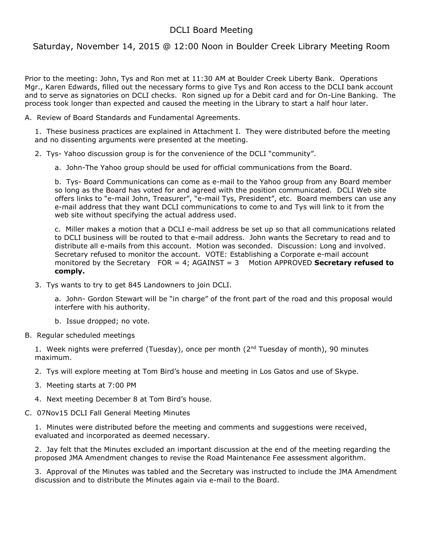## DCLI Board Meeting

Saturday, November 14, 2015 @ 12:00 Noon in Boulder Creek Library Meeting Room

Prior to the meeting: John, Tys and Ron met at 11:30 AM at Boulder Creek Liberty Bank. Operations Mgr., Karen Edwards, filled out the necessary forms to give Tys and Ron access to the DCLI bank account and to serve as signatories on DCLI checks. Ron signed up for a Debit card and for On-Line Banking. The process took longer than expected and caused the meeting in the Library to start a half hour later.

A. Review of Board Standards and Fundamental Agreements.

1. These business practices are explained in Attachment I. They were distributed before the meeting and no dissenting arguments were presented at the meeting.

2. Tys- Yahoo discussion group is for the convenience of the DCLI "community".

a. John-The Yahoo group should be used for official communications from the Board.

b. Tys- Board Communications can come as e-mail to the Yahoo group from any Board member so long as the Board has voted for and agreed with the position communicated. DCLI Web site offers links to "e-mail John, Treasurer", "e-mail Tys, President", etc. Board members can use any e-mail address that they want DCLI communications to come to and Tys will link to it from the web site without specifying the actual address used.

c. Miller makes a motion that a DCLI e-mail address be set up so that all communications related to DCLI business will be routed to that e-mail address. John wants the Secretary to read and to distribute all e-mails from this account. Motion was seconded. Discussion: Long and involved. Secretary refused to monitor the account. VOTE: Establishing a Corporate e-mail account monitored by the Secretary FOR = 4; AGAINST = 3 Motion APPROVED **Secretary refused to comply.**

3. Tys wants to try to get 845 Landowners to join DCLI.

a. John- Gordon Stewart will be "in charge" of the front part of the road and this proposal would interfere with his authority.

b. Issue dropped; no vote.

B. Regular scheduled meetings

1. Week nights were preferred (Tuesday), once per month ( $2<sup>nd</sup>$  Tuesday of month), 90 minutes maximum.

2. Tys will explore meeting at Tom Bird's house and meeting in Los Gatos and use of Skype.

- 3. Meeting starts at 7:00 PM
- 4. Next meeting December 8 at Tom Bird's house.
- C. 07Nov15 DCLI Fall General Meeting Minutes

1. Minutes were distributed before the meeting and comments and suggestions were received, evaluated and incorporated as deemed necessary.

2. Jay felt that the Minutes excluded an important discussion at the end of the meeting regarding the proposed JMA Amendment changes to revise the Road Maintenance Fee assessment algorithm.

3. Approval of the Minutes was tabled and the Secretary was instructed to include the JMA Amendment discussion and to distribute the Minutes again via e-mail to the Board.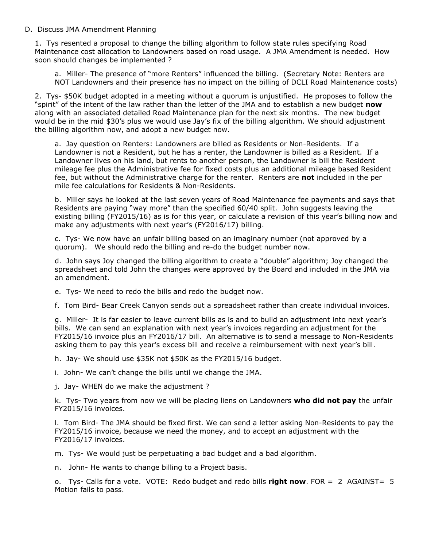## D. Discuss JMA Amendment Planning

1. Tys resented a proposal to change the billing algorithm to follow state rules specifying Road Maintenance cost allocation to Landowners based on road usage. A JMA Amendment is needed. How soon should changes be implemented ?

a. Miller- The presence of "more Renters" influenced the billing. (Secretary Note: Renters are NOT Landowners and their presence has no impact on the billing of DCLI Road Maintenance costs)

2. Tys- \$50K budget adopted in a meeting without a quorum is unjustified. He proposes to follow the "spirit" of the intent of the law rather than the letter of the JMA and to establish a new budget **now** along with an associated detailed Road Maintenance plan for the next six months. The new budget would be in the mid \$30's plus we would use Jay's fix of the billing algorithm. We should adjustment the billing algorithm now, and adopt a new budget now.

a. Jay question on Renters: Landowners are billed as Residents or Non-Residents. If a Landowner is not a Resident, but he has a renter, the Landowner is billed as a Resident. If a Landowner lives on his land, but rents to another person, the Landowner is bill the Resident mileage fee plus the Administrative fee for fixed costs plus an additional mileage based Resident fee, but without the Administrative charge for the renter. Renters are **not** included in the per mile fee calculations for Residents & Non-Residents.

b. Miller says he looked at the last seven years of Road Maintenance fee payments and says that Residents are paying "way more" than the specified 60/40 split. John suggests leaving the existing billing (FY2015/16) as is for this year, or calculate a revision of this year's billing now and make any adjustments with next year's (FY2016/17) billing.

c. Tys- We now have an unfair billing based on an imaginary number (not approved by a quorum). We should redo the billing and re-do the budget number now.

d. John says Joy changed the billing algorithm to create a "double" algorithm; Joy changed the spreadsheet and told John the changes were approved by the Board and included in the JMA via an amendment.

e. Tys- We need to redo the bills and redo the budget now.

f. Tom Bird- Bear Creek Canyon sends out a spreadsheet rather than create individual invoices.

g. Miller- It is far easier to leave current bills as is and to build an adjustment into next year's bills. We can send an explanation with next year's invoices regarding an adjustment for the FY2015/16 invoice plus an FY2016/17 bill. An alternative is to send a message to Non-Residents asking them to pay this year's excess bill and receive a reimbursement with next year's bill.

h. Jay- We should use \$35K not \$50K as the FY2015/16 budget.

i. John- We can't change the bills until we change the JMA.

j. Jay- WHEN do we make the adjustment ?

k. Tys- Two years from now we will be placing liens on Landowners **who did not pay** the unfair FY2015/16 invoices.

l. Tom Bird- The JMA should be fixed first. We can send a letter asking Non-Residents to pay the FY2015/16 invoice, because we need the money, and to accept an adjustment with the FY2016/17 invoices.

m. Tys- We would just be perpetuating a bad budget and a bad algorithm.

n. John- He wants to change billing to a Project basis.

o. Tys- Calls for a vote. VOTE: Redo budget and redo bills **right now**. FOR = 2 AGAINST= 5 Motion fails to pass.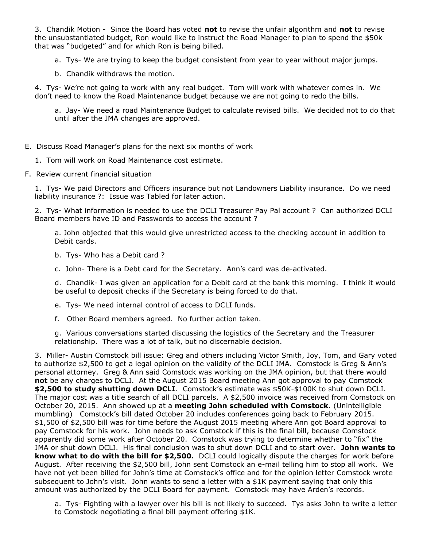3. Chandik Motion - Since the Board has voted **not** to revise the unfair algorithm and **not** to revise the unsubstantiated budget, Ron would like to instruct the Road Manager to plan to spend the \$50k that was "budgeted" and for which Ron is being billed.

a. Tys- We are trying to keep the budget consistent from year to year without major jumps.

b. Chandik withdraws the motion.

4. Tys- We're not going to work with any real budget. Tom will work with whatever comes in. We don't need to know the Road Maintenance budget because we are not going to redo the bills.

a. Jay- We need a road Maintenance Budget to calculate revised bills. We decided not to do that until after the JMA changes are approved.

- E. Discuss Road Manager's plans for the next six months of work
	- 1. Tom will work on Road Maintenance cost estimate.
- F. Review current financial situation

1. Tys- We paid Directors and Officers insurance but not Landowners Liability insurance. Do we need liability insurance ?: Issue was Tabled for later action.

2. Tys- What information is needed to use the DCLI Treasurer Pay Pal account ? Can authorized DCLI Board members have ID and Passwords to access the account ?

a. John objected that this would give unrestricted access to the checking account in addition to Debit cards.

- b. Tys- Who has a Debit card ?
- c. John- There is a Debt card for the Secretary. Ann's card was de-activated.

d. Chandik- I was given an application for a Debit card at the bank this morning. I think it would be useful to deposit checks if the Secretary is being forced to do that.

- e. Tys- We need internal control of access to DCLI funds.
- f. Other Board members agreed. No further action taken.

g. Various conversations started discussing the logistics of the Secretary and the Treasurer relationship. There was a lot of talk, but no discernable decision.

3. Miller- Austin Comstock bill issue: Greg and others including Victor Smith, Joy, Tom, and Gary voted to authorize \$2,500 to get a legal opinion on the validity of the DCLI JMA. Comstock is Greg & Ann's personal attorney. Greg & Ann said Comstock was working on the JMA opinion, but that there would **not** be any charges to DCLI. At the August 2015 Board meeting Ann got approval to pay Comstock **\$2,500 to study shutting down DCLI**. Comstock's estimate was \$50K-\$100K to shut down DCLI. The major cost was a title search of all DCLI parcels. A \$2,500 invoice was received from Comstock on October 20, 2015. Ann showed up at a **meeting John scheduled with Comstock**. (Unintelligible mumbling) Comstock's bill dated October 20 includes conferences going back to February 2015. \$1,500 of \$2,500 bill was for time before the August 2015 meeting where Ann got Board approval to pay Comstock for his work. John needs to ask Comstock if this is the final bill, because Comstock apparently did some work after October 20. Comstock was trying to determine whether to "fix" the JMA or shut down DCLI. His final conclusion was to shut down DCLI and to start over. **John wants to know what to do with the bill for \$2,500.** DCLI could logically dispute the charges for work before August. After receiving the \$2,500 bill, John sent Comstock an e-mail telling him to stop all work. We have not yet been billed for John's time at Comstock's office and for the opinion letter Comstock wrote subsequent to John's visit. John wants to send a letter with a \$1K payment saying that only this amount was authorized by the DCLI Board for payment. Comstock may have Arden's records.

a. Tys- Fighting with a lawyer over his bill is not likely to succeed. Tys asks John to write a letter to Comstock negotiating a final bill payment offering \$1K.